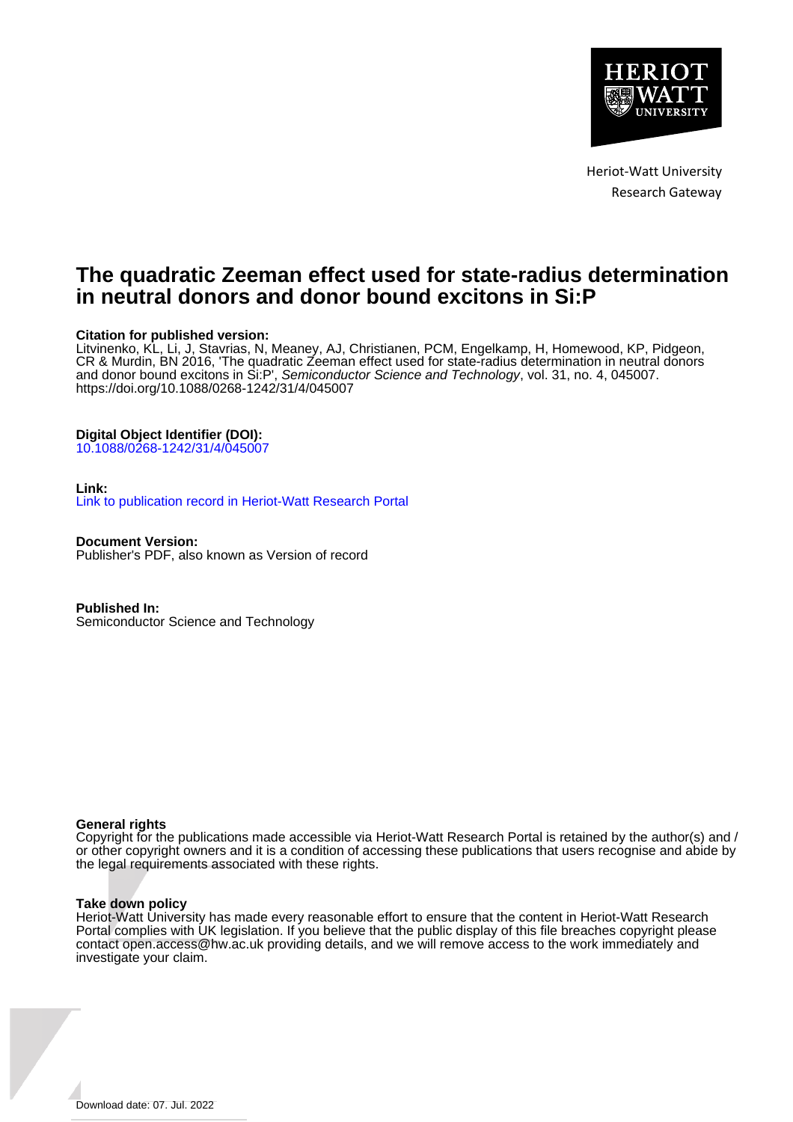

Heriot-Watt University Research Gateway

# **The quadratic Zeeman effect used for state-radius determination in neutral donors and donor bound excitons in Si:P**

# **Citation for published version:**

Litvinenko, KL, Li, J, Stavrias, N, Meaney, AJ, Christianen, PCM, Engelkamp, H, Homewood, KP, Pidgeon, CR & Murdin, BN 2016, 'The quadratic Zeeman effect used for state-radius determination in neutral donors and donor bound excitons in Si:P', *Semiconductor Science and Technology*, vol. 31, no. 4, 045007. <https://doi.org/10.1088/0268-1242/31/4/045007>

# **Digital Object Identifier (DOI):**

[10.1088/0268-1242/31/4/045007](https://doi.org/10.1088/0268-1242/31/4/045007)

#### **Link:**

[Link to publication record in Heriot-Watt Research Portal](https://researchportal.hw.ac.uk/en/publications/b76736cd-4228-47e1-b075-b0f770436852)

**Document Version:** Publisher's PDF, also known as Version of record

**Published In:** Semiconductor Science and Technology

#### **General rights**

Copyright for the publications made accessible via Heriot-Watt Research Portal is retained by the author(s) and / or other copyright owners and it is a condition of accessing these publications that users recognise and abide by the legal requirements associated with these rights.

#### **Take down policy**

Heriot-Watt University has made every reasonable effort to ensure that the content in Heriot-Watt Research Portal complies with UK legislation. If you believe that the public display of this file breaches copyright please contact open.access@hw.ac.uk providing details, and we will remove access to the work immediately and investigate your claim.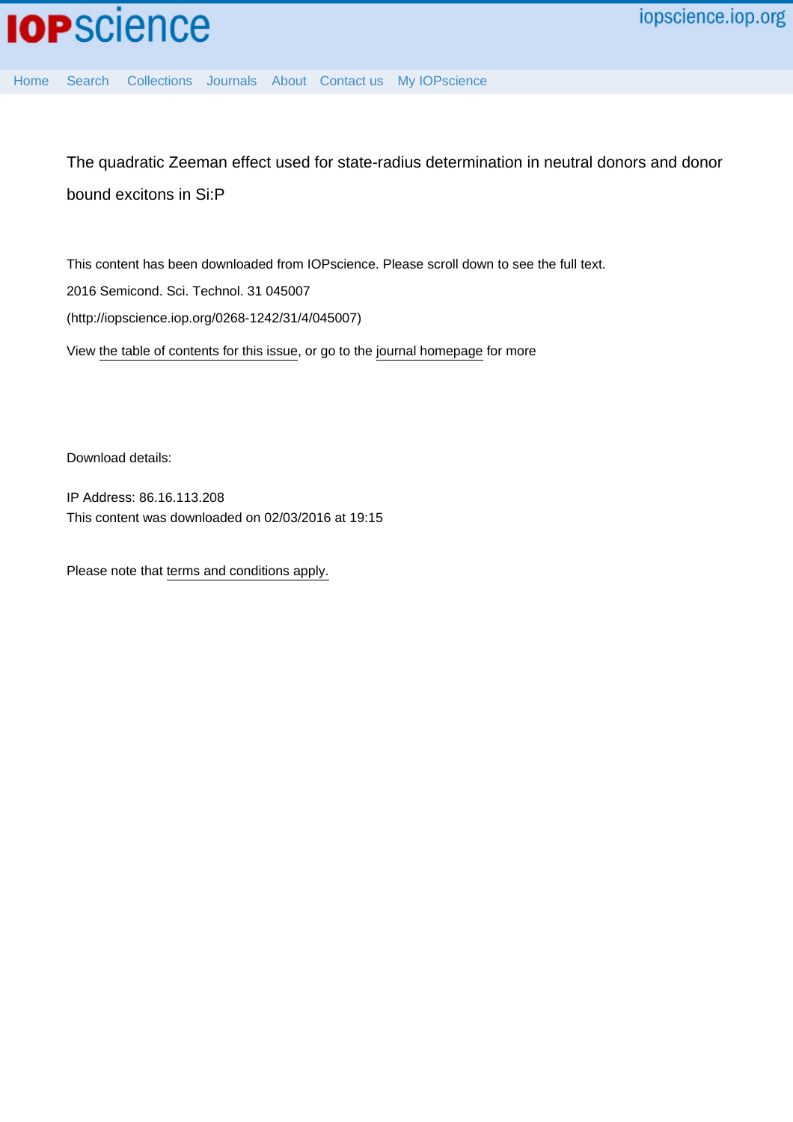

[Home](http://iopscience.iop.org/) [Search](http://iopscience.iop.org/search) [Collections](http://iopscience.iop.org/collections) [Journals](http://iopscience.iop.org/journals) [About](http://iopscience.iop.org/page/aboutioppublishing) [Contact us](http://iopscience.iop.org/contact) [My IOPscience](http://iopscience.iop.org/myiopscience)

The quadratic Zeeman effect used for state-radius determination in neutral donors and donor bound excitons in Si:P

This content has been downloaded from IOPscience. Please scroll down to see the full text. View [the table of contents for this issue](http://iopscience.iop.org/0268-1242/31/4), or go to the [journal homepage](http://iopscience.iop.org/0268-1242) for more 2016 Semicond. Sci. Technol. 31 045007 (http://iopscience.iop.org/0268-1242/31/4/045007)

Download details:

IP Address: 86.16.113.208 This content was downloaded on 02/03/2016 at 19:15

Please note that [terms and conditions apply.](iopscience.iop.org/page/terms)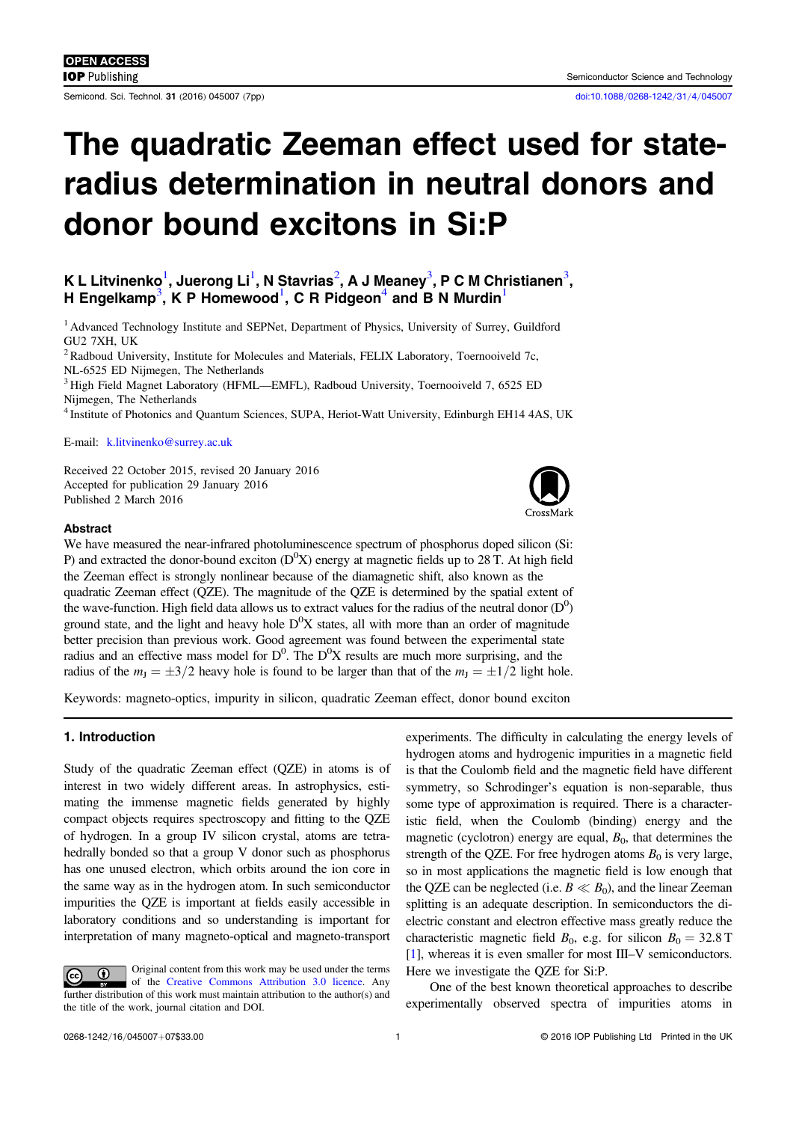# The quadratic Zeeman effect used for stateradius determination in neutral donors and donor bound excitons in Si:P

# K L Litvinenko $^1$  $^1$ , Juerong Li $^1$ , N Stavrias $^2$  $^2$ , A J Meaney $^3$  $^3$ , P C M Christianen $^3$ , H Engelkamp<sup>[3](#page-2-2)</sup>, K P Homewood<sup>[1](#page-2-0)</sup>, C R Pidgeon<sup>[4](#page-2-3)</sup> and B N Murdin<sup>1</sup>

<span id="page-2-0"></span><sup>1</sup> Advanced Technology Institute and SEPNet, Department of Physics, University of Surrey, Guildford GU2 7XH, UK

<span id="page-2-1"></span><sup>2</sup> Radboud University, Institute for Molecules and Materials, FELIX Laboratory, Toernooiveld 7c, NL-6525 ED Nijmegen, The Netherlands

<span id="page-2-2"></span><sup>3</sup> High Field Magnet Laboratory (HFML—EMFL), Radboud University, Toernooiveld 7, 6525 ED Nijmegen, The Netherlands

<span id="page-2-3"></span><sup>4</sup> Institute of Photonics and Quantum Sciences, SUPA, Heriot-Watt University, Edinburgh EH14 4AS, UK

E-mail: [k.litvinenko@surrey.ac.uk](mailto: k.litvinenko@surrey.ac.uk)

Received 22 October 2015, revised 20 January 2016 Accepted for publication 29 January 2016 Published 2 March 2016

#### Abstract

We have measured the near-infrared photoluminescence spectrum of phosphorus doped silicon (Si: P) and extracted the donor-bound exciton  $(D^0X)$  energy at magnetic fields up to 28 T. At high field the Zeeman effect is strongly nonlinear because of the diamagnetic shift, also known as the quadratic Zeeman effect (QZE). The magnitude of the QZE is determined by the spatial extent of the wave-function. High field data allows us to extract values for the radius of the neutral donor  $(D^0)$ ground state, and the light and heavy hole  $D^0X$  states, all with more than an order of magnitude better precision than previous work. Good agreement was found between the experimental state radius and an effective mass model for  $D^0$ . The  $D^0X$  results are much more surprising, and the radius of the  $m<sub>J</sub> = \pm 3/2$  heavy hole is found to be larger than that of the  $m<sub>J</sub> = \pm 1/2$  light hole.

Keywords: magneto-optics, impurity in silicon, quadratic Zeeman effect, donor bound exciton

# 1. Introduction

Study of the quadratic Zeeman effect (QZE) in atoms is of interest in two widely different areas. In astrophysics, estimating the immense magnetic fields generated by highly compact objects requires spectroscopy and fitting to the QZE of hydrogen. In a group IV silicon crystal, atoms are tetrahedrally bonded so that a group V donor such as phosphorus has one unused electron, which orbits around the ion core in the same way as in the hydrogen atom. In such semiconductor impurities the QZE is important at fields easily accessible in laboratory conditions and so understanding is important for interpretation of many magneto-optical and magneto-transport

Original content from this work may be used under the terms  $\bigcirc$  $|G \rangle$ of the [Creative Commons Attribution 3.0 licence](http://creativecommons.org/licenses/by/3.0). Any further distribution of this work must maintain attribution to the author(s) and the title of the work, journal citation and DOI.

experiments. The difficulty in calculating the energy levels of hydrogen atoms and hydrogenic impurities in a magnetic field is that the Coulomb field and the magnetic field have different symmetry, so Schrodinger's equation is non-separable, thus some type of approximation is required. There is a characteristic field, when the Coulomb (binding) energy and the magnetic (cyclotron) energy are equal,  $B<sub>0</sub>$ , that determines the strength of the QZE. For free hydrogen atoms  $B_0$  is very large, so in most applications the magnetic field is low enough that the QZE can be neglected (i.e.  $B \ll B_0$ ), and the linear Zeeman splitting is an adequate description. In semiconductors the dielectric constant and electron effective mass greatly reduce the characteristic magnetic field  $B_0$ , e.g. for silicon  $B_0 = 32.8$  T [[1](#page-7-0)], whereas it is even smaller for most III–V semiconductors. Here we investigate the QZE for Si:P.

One of the best known theoretical approaches to describe experimentally observed spectra of impurities atoms in

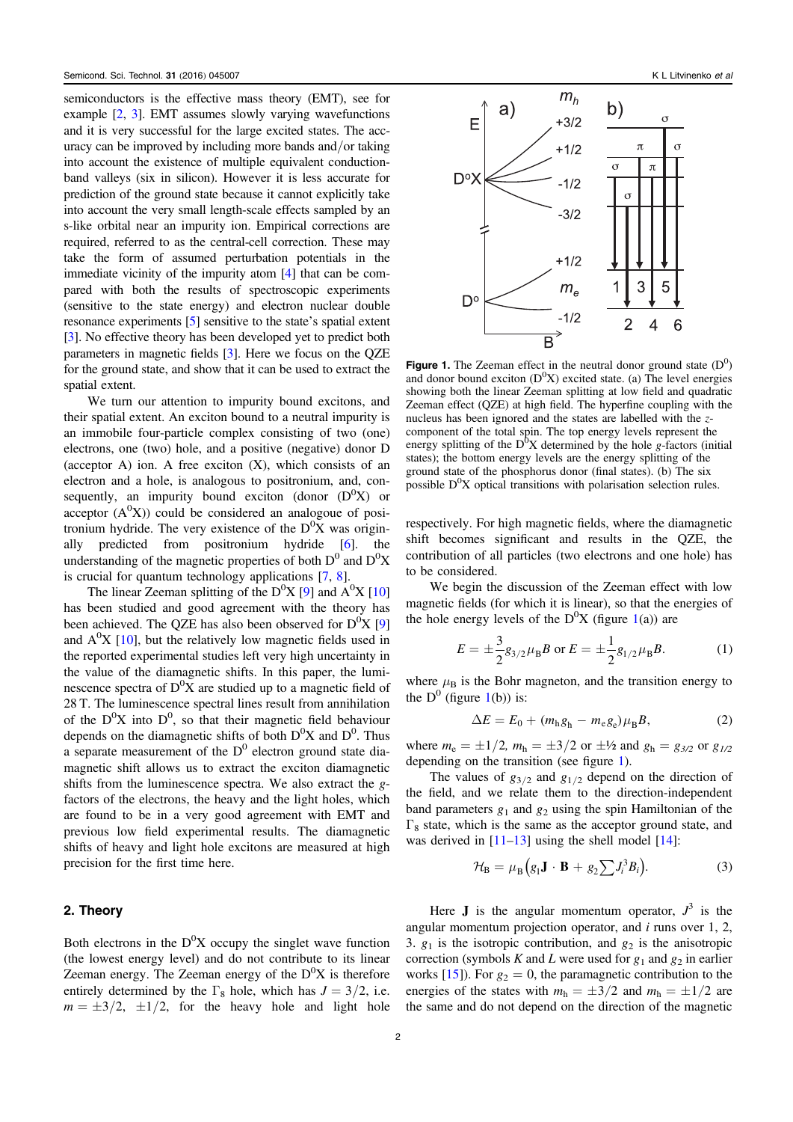semiconductors is the effective mass theory (EMT), see for example [[2](#page-7-1), [3](#page-7-2)]. EMT assumes slowly varying wavefunctions and it is very successful for the large excited states. The accuracy can be improved by including more bands and/or taking into account the existence of multiple equivalent conductionband valleys (six in silicon). However it is less accurate for prediction of the ground state because it cannot explicitly take into account the very small length-scale effects sampled by an s-like orbital near an impurity ion. Empirical corrections are required, referred to as the central-cell correction. These may take the form of assumed perturbation potentials in the immediate vicinity of the impurity atom [[4](#page-7-3)] that can be compared with both the results of spectroscopic experiments (sensitive to the state energy) and electron nuclear double resonance experiments [[5](#page-7-4)] sensitive to the state's spatial extent [[3](#page-7-2)]. No effective theory has been developed yet to predict both parameters in magnetic fields [[3](#page-7-2)]. Here we focus on the QZE for the ground state, and show that it can be used to extract the spatial extent.

We turn our attention to impurity bound excitons, and their spatial extent. An exciton bound to a neutral impurity is an immobile four-particle complex consisting of two (one) electrons, one (two) hole, and a positive (negative) donor D (acceptor A) ion. A free exciton  $(X)$ , which consists of an electron and a hole, is analogous to positronium, and, consequently, an impurity bound exciton (donor  $(D^0X)$  or acceptor  $(A^0X)$ ) could be considered an analogoue of positronium hydride. The very existence of the  $D^0X$  was originally predicted from positronium hydride [[6](#page-7-5)]. the understanding of the magnetic properties of both  $D^0$  and  $D^0X$ is crucial for quantum technology applications [[7,](#page-7-6) [8](#page-7-7)].

The linear Zeeman splitting of the  $D^0X$  [[9](#page-7-8)] and  $A^0X$  [[10](#page-7-9)] has been studied and good agreement with the theory has been achieved. The QZE has also been observed for  $D^0X$  [[9](#page-7-8)] and  $A^{0}X$  [[10](#page-7-9)], but the relatively low magnetic fields used in the reported experimental studies left very high uncertainty in the value of the diamagnetic shifts. In this paper, the luminescence spectra of  $D^0X$  are studied up to a magnetic field of 28 T. The luminescence spectral lines result from annihilation of the  $D^0X$  into  $D^0$ , so that their magnetic field behaviour depends on the diamagnetic shifts of both  $D^{0}X$  and  $D^{0}$ . Thus a separate measurement of the  $D^0$  electron ground state diamagnetic shift allows us to extract the exciton diamagnetic shifts from the luminescence spectra. We also extract the gfactors of the electrons, the heavy and the light holes, which are found to be in a very good agreement with EMT and previous low field experimental results. The diamagnetic shifts of heavy and light hole excitons are measured at high precision for the first time here.

# 2. Theory

Both electrons in the  $D^{0}X$  occupy the singlet wave function (the lowest energy level) and do not contribute to its linear Zeeman energy. The Zeeman energy of the  $D^{0}X$  is therefore entirely determined by the  $\Gamma_8$  hole, which has  $J = 3/2$ , i.e.  $m = \pm 3/2$ ,  $\pm 1/2$ , for the heavy hole and light hole

<span id="page-3-0"></span>

Figure 1. The Zeeman effect in the neutral donor ground state  $(D^0)$ and donor bound exciton  $(D^0X)$  excited state. (a) The level energies showing both the linear Zeeman splitting at low field and quadratic Zeeman effect (QZE) at high field. The hyperfine coupling with the nucleus has been ignored and the states are labelled with the zcomponent of the total spin. The top energy levels represent the energy splitting of the  $D^0X$  determined by the hole g-factors (initial states); the bottom energy levels are the energy splitting of the ground state of the phosphorus donor (final states). (b) The six possible  $D^0X$  optical transitions with polarisation selection rules.

respectively. For high magnetic fields, where the diamagnetic shift becomes significant and results in the QZE, the contribution of all particles (two electrons and one hole) has to be considered.

<span id="page-3-1"></span>We begin the discussion of the Zeeman effect with low magnetic fields (for which it is linear), so that the energies of the hole energy levels of the  $D^{0}X$  (figure [1](#page-3-0)(a)) are

$$
E = \pm \frac{3}{2} g_{3/2} \mu_{\rm B} B \text{ or } E = \pm \frac{1}{2} g_{1/2} \mu_{\rm B} B. \tag{1}
$$

<span id="page-3-2"></span>where  $\mu_B$  is the Bohr magneton, and the transition energy to the  $D^0$  (figure [1](#page-3-0)(b)) is:

$$
\Delta E = E_0 + (m_h g_h - m_e g_e) \mu_B B, \qquad (2)
$$

where  $m_e = \pm 1/2$ ,  $m_h = \pm 3/2$  or  $\pm 4/2$  and  $g_h = g_{3/2}$  or  $g_{1/2}$ depending on the transition (see figure [1](#page-3-0)).

The values of  $g_{3/2}$  and  $g_{1/2}$  depend on the direction of the field, and we relate them to the direction-independent band parameters  $g_1$  and  $g_2$  using the spin Hamiltonian of the  $\Gamma_8$  state, which is the same as the acceptor ground state, and was derived in  $[11-13]$  $[11-13]$  $[11-13]$  $[11-13]$  $[11-13]$  using the shell model  $[14]$  $[14]$  $[14]$ :

$$
\mathcal{H}_{\mathbf{B}} = \mu_{\mathbf{B}} \Big( g_1 \mathbf{J} \cdot \mathbf{B} + g_2 \sum J_i^3 B_i \Big). \tag{3}
$$

Here **J** is the angular momentum operator,  $J^3$  is the angular momentum projection operator, and  $i$  runs over 1, 2, 3.  $g_1$  is the isotropic contribution, and  $g_2$  is the anisotropic correction (symbols K and L were used for  $g_1$  and  $g_2$  in earlier works [[15](#page-7-13)]). For  $g_2 = 0$ , the paramagnetic contribution to the energies of the states with  $m_h = \pm 3/2$  and  $m_h = \pm 1/2$  are the same and do not depend on the direction of the magnetic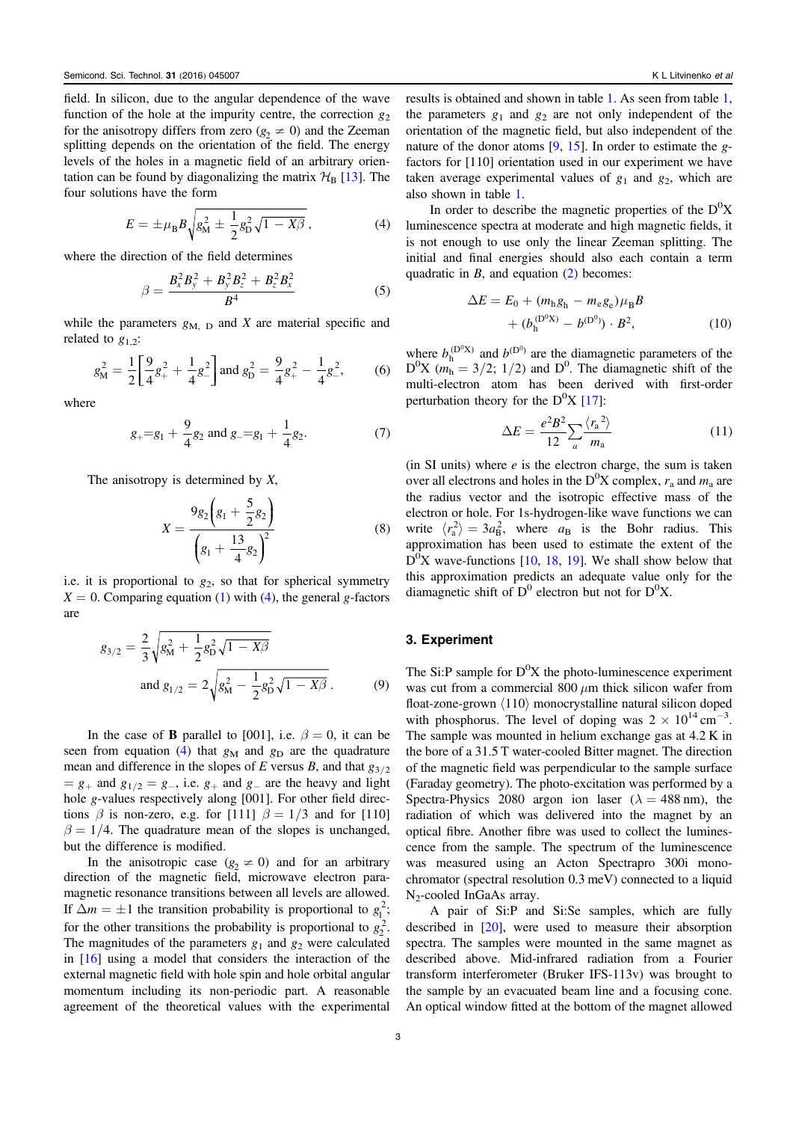field. In silicon, due to the angular dependence of the wave function of the hole at the impurity centre, the correction  $g_2$ for the anisotropy differs from zero  $(g_2 \neq 0)$  and the Zeeman splitting depends on the orientation of the field. The energy levels of the holes in a magnetic field of an arbitrary orientation can be found by diagonalizing the matrix  $\mathcal{H}_{B}$  [[13](#page-7-11)]. The four solutions have the form

<span id="page-4-0"></span>
$$
E = \pm \mu_{\rm B} B \sqrt{g_{\rm M}^2 \pm \frac{1}{2} g_{\rm D}^2 \sqrt{1 - X\beta}}\,,\tag{4}
$$

where the direction of the field determines

$$
\beta = \frac{B_x^2 B_y^2 + B_y^2 B_z^2 + B_z^2 B_x^2}{B^4}
$$
 (5)

while the parameters  $g_{\text{M, D}}$  and X are material specific and related to  $g_1$ <sub>2</sub>:

$$
g_{\rm M}^2 = \frac{1}{2} \left[ \frac{9}{4} g_+^2 + \frac{1}{4} g_-^2 \right] \text{ and } g_{\rm D}^2 = \frac{9}{4} g_+^2 - \frac{1}{4} g_-^2,\tag{6}
$$

where

$$
g_{+} = g_1 + \frac{9}{4}g_2
$$
 and  $g_{-} = g_1 + \frac{1}{4}g_2$ . (7)

<span id="page-4-3"></span>The anisotropy is determined by  $X$ ,

$$
X = \frac{9g_2\left(g_1 + \frac{5}{2}g_2\right)}{\left(g_1 + \frac{13}{4}g_2\right)^2}
$$
 (8)

i.e. it is proportional to  $g_2$ , so that for spherical symmetry  $X = 0$ . Comparing equation ([1](#page-3-1)) with ([4](#page-4-0)), the general g-factors are

$$
g_{3/2} = \frac{2}{3} \sqrt{g_M^2 + \frac{1}{2} g_D^2 \sqrt{1 - X\beta}}
$$
  
and  $g_{1/2} = 2 \sqrt{g_M^2 - \frac{1}{2} g_D^2 \sqrt{1 - X\beta}}$ . (9)

In the case of **B** parallel to [001], i.e.  $\beta = 0$ , it can be seen from equation ([4](#page-4-0)) that  $g_M$  and  $g_D$  are the quadrature mean and difference in the slopes of E versus B, and that  $g_{3/2}$  $= g_{+}$  and  $g_{1/2} = g_{-}$ , i.e.  $g_{+}$  and  $g_{-}$  are the heavy and light hole g-values respectively along [001]. For other field directions  $\beta$  is non-zero, e.g. for [111]  $\beta = 1/3$  and for [110]  $\beta = 1/4$ . The quadrature mean of the slopes is unchanged, but the difference is modified.

In the anisotropic case  $(g_2 \neq 0)$  and for an arbitrary direction of the magnetic field, microwave electron paramagnetic resonance transitions between all levels are allowed. If  $\Delta m = \pm 1$  the transition probability is proportional to  $g_1^2$ ; for the other transitions the probability is proportional to  $g_2^2$ . The magnitudes of the parameters  $g_1$  and  $g_2$  were calculated in [[16](#page-7-14)] using a model that considers the interaction of the external magnetic field with hole spin and hole orbital angular momentum including its non-periodic part. A reasonable agreement of the theoretical values with the experimental results is obtained and shown in table [1.](#page-6-0) As seen from table [1](#page-6-0), the parameters  $g_1$  and  $g_2$  are not only independent of the orientation of the magnetic field, but also independent of the nature of the donor atoms  $[9, 15]$  $[9, 15]$  $[9, 15]$  $[9, 15]$  $[9, 15]$ . In order to estimate the gfactors for [110] orientation used in our experiment we have taken average experimental values of  $g_1$  and  $g_2$ , which are also shown in table [1.](#page-6-0)

<span id="page-4-1"></span>In order to describe the magnetic properties of the  $D^{0}X$ luminescence spectra at moderate and high magnetic fields, it is not enough to use only the linear Zeeman splitting. The initial and final energies should also each contain a term quadratic in  $B$ , and equation ([2](#page-3-2)) becomes:

$$
\Delta E = E_0 + (m_h g_h - m_e g_e) \mu_B B + (b_h^{(D^0 X)} - b^{(D^0)}) \cdot B^2,
$$
 (10)

<span id="page-4-2"></span>where  $b_h^{(D^0X)}$  and  $b^{(D^0)}$  are the diamagnetic parameters of the  $D^{0}X$  ( $m_{h}^{n} = 3/2$ ; 1/2) and  $D^{0}$ . The diamagnetic shift of the multi-electron atom has been derived with first-order perturbation theory for the  $D^{0}X$  [[17](#page-7-15)]:

$$
\Delta E = \frac{e^2 B^2}{12} \sum_{a} \frac{\langle r_a^2 \rangle}{m_a} \tag{11}
$$

(in SI units) where  $e$  is the electron charge, the sum is taken over all electrons and holes in the D<sup>0</sup>X complex,  $r_a$  and  $m_a$  are the radius vector and the isotropic effective mass of the electron or hole. For 1s-hydrogen-like wave functions we can write  $\langle r_a^2 \rangle = 3a_B^2$ , where  $a_B$  is the Bohr radius. This approximation has been used to estimate the extent of the  $\overline{D}^0$ X wave-functions [[10,](#page-7-9) [18](#page-7-16), [19](#page-8-0)]. We shall show below that this approximation predicts an adequate value only for the diamagnetic shift of  $D^0$  electron but not for  $D^0X$ .

## 3. Experiment

The Si:P sample for  $D^{0}X$  the photo-luminescence experiment was cut from a commercial 800  $\mu$ m thick silicon wafer from float-zone-grown 〈110〉 monocrystalline natural silicon doped with phosphorus. The level of doping was  $2 \times 10^{14}$  cm<sup>-3</sup>. The sample was mounted in helium exchange gas at 4.2 K in the bore of a 31.5 T water-cooled Bitter magnet. The direction of the magnetic field was perpendicular to the sample surface (Faraday geometry). The photo-excitation was performed by a Spectra-Physics 2080 argon ion laser ( $\lambda = 488$  nm), the radiation of which was delivered into the magnet by an optical fibre. Another fibre was used to collect the luminescence from the sample. The spectrum of the luminescence was measured using an Acton Spectrapro 300i monochromator (spectral resolution 0.3 meV) connected to a liquid N<sub>2</sub>-cooled InGaAs array.

A pair of Si:P and Si:Se samples, which are fully described in [[20](#page-8-1)], were used to measure their absorption spectra. The samples were mounted in the same magnet as described above. Mid-infrared radiation from a Fourier transform interferometer (Bruker IFS-113v) was brought to the sample by an evacuated beam line and a focusing cone. An optical window fitted at the bottom of the magnet allowed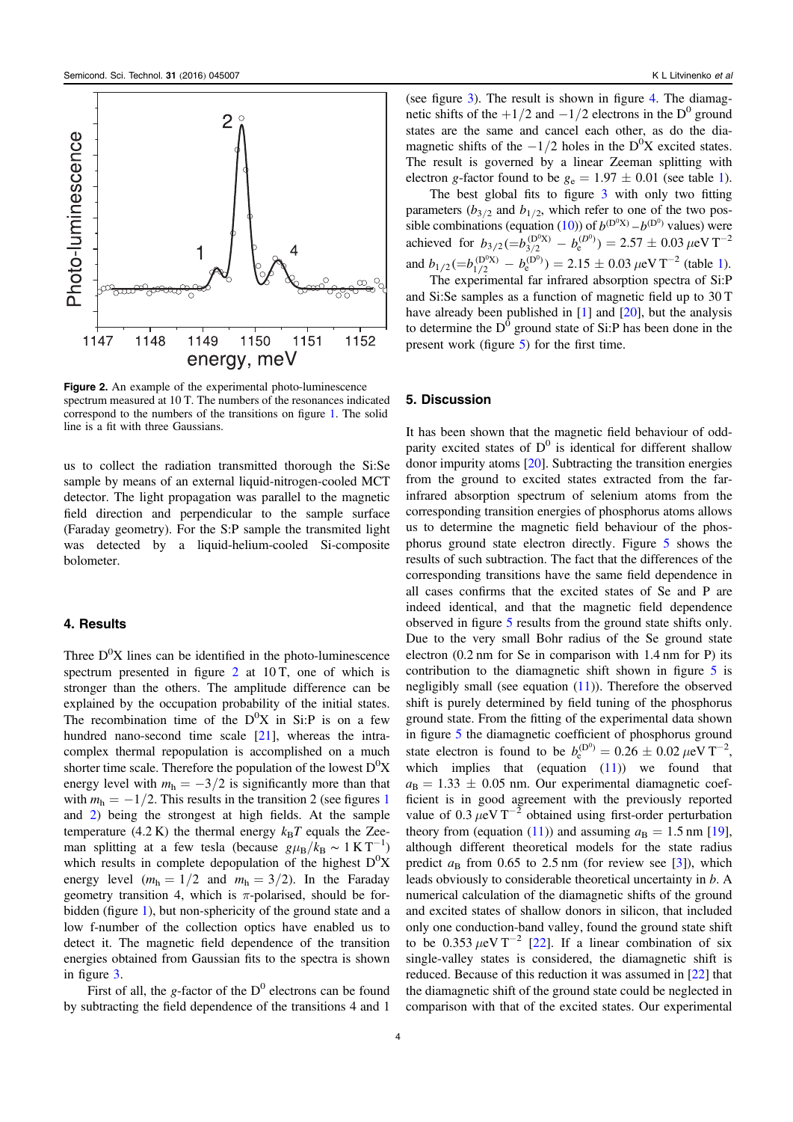<span id="page-5-0"></span>

Figure 2. An example of the experimental photo-luminescence spectrum measured at 10 T. The numbers of the resonances indicated correspond to the numbers of the transitions on figure [1.](#page-3-0) The solid line is a fit with three Gaussians.

us to collect the radiation transmitted thorough the Si:Se sample by means of an external liquid-nitrogen-cooled MCT detector. The light propagation was parallel to the magnetic field direction and perpendicular to the sample surface (Faraday geometry). For the S:P sample the transmited light was detected by a liquid-helium-cooled Si-composite bolometer.

#### 4. Results

Three  $D^{0}X$  lines can be identified in the photo-luminescence spectrum presented in figure [2](#page-5-0) at 10 T, one of which is stronger than the others. The amplitude difference can be explained by the occupation probability of the initial states. The recombination time of the  $D^0X$  in Si:P is on a few hundred nano-second time scale [[21](#page-8-2)], whereas the intracomplex thermal repopulation is accomplished on a much shorter time scale. Therefore the population of the lowest  $D^{0}X$ energy level with  $m_h = -3/2$  is significantly more than that with  $m_h = -1/2$  $m_h = -1/2$  $m_h = -1/2$ . This results in the transition 2 (see figures 1) and [2](#page-5-0)) being the strongest at high fields. At the sample temperature (4.2 K) the thermal energy  $k_BT$  equals the Zeeman splitting at a few tesla (because  $g\mu_B/k_B \sim 1 \text{ K T}^{-1}$ ) which results in complete depopulation of the highest  $D^{0}X$ energy level  $(m_h = 1/2$  and  $m_h = 3/2)$ . In the Faraday geometry transition 4, which is  $\pi$ -polarised, should be forbidden (figure [1](#page-3-0)), but non-sphericity of the ground state and a low f-number of the collection optics have enabled us to detect it. The magnetic field dependence of the transition energies obtained from Gaussian fits to the spectra is shown in figure [3](#page-6-1).

First of all, the g-factor of the  $D^0$  electrons can be found by subtracting the field dependence of the transitions 4 and 1

(see figure [3](#page-6-1)). The result is shown in figure [4](#page-6-2). The diamagnetic shifts of the  $+1/2$  and  $-1/2$  electrons in the D<sup>0</sup> ground states are the same and cancel each other, as do the diamagnetic shifts of the  $-1/2$  holes in the D<sup>0</sup>X excited states. The result is governed by a linear Zeeman splitting with electron g-factor found to be  $g_e = 1.97 \pm 0.01$  $g_e = 1.97 \pm 0.01$  $g_e = 1.97 \pm 0.01$  (see table 1).

The best global fits to figure [3](#page-6-1) with only two fitting parameters  $(b_{3/2}$  and  $b_{1/2}$ , which refer to one of the two pos-sible combinations (equation ([10](#page-4-1))) of  $b^{(D^0X)} - b^{(D^0)}$  values) were achieved for  $b_{3/2} (= b_{3/2}^{(D^0 X)} - b_e^{(D^0)}) = 2.57 \pm 0.03 \,\mu\text{eV T}^{-2}$ and  $b_{1/2} (= b_{1/2}^{(D^0 X)} - b_e^{(D^0)}) = 2.15 \pm 0.03 \,\mu\text{eV T}^{-2}$  $b_{1/2} (= b_{1/2}^{(D^0 X)} - b_e^{(D^0)}) = 2.15 \pm 0.03 \,\mu\text{eV T}^{-2}$  $b_{1/2} (= b_{1/2}^{(D^0 X)} - b_e^{(D^0)}) = 2.15 \pm 0.03 \,\mu\text{eV T}^{-2}$  (table 1).

The experimental far infrared absorption spectra of Si:P and Si:Se samples as a function of magnetic field up to 30 T have already been published in [[1](#page-7-0)] and [[20](#page-8-1)], but the analysis to determine the  $D^0$  ground state of Si:P has been done in the present work (figure [5](#page-7-17)) for the first time.

#### 5. Discussion

It has been shown that the magnetic field behaviour of oddparity excited states of  $D^0$  is identical for different shallow donor impurity atoms [[20](#page-8-1)]. Subtracting the transition energies from the ground to excited states extracted from the farinfrared absorption spectrum of selenium atoms from the corresponding transition energies of phosphorus atoms allows us to determine the magnetic field behaviour of the phosphorus ground state electron directly. Figure [5](#page-7-17) shows the results of such subtraction. The fact that the differences of the corresponding transitions have the same field dependence in all cases confirms that the excited states of Se and P are indeed identical, and that the magnetic field dependence observed in figure [5](#page-7-17) results from the ground state shifts only. Due to the very small Bohr radius of the Se ground state electron (0.2 nm for Se in comparison with 1.4 nm for P) its contribution to the diamagnetic shift shown in figure [5](#page-7-17) is negligibly small (see equation  $(11)$  $(11)$  $(11)$ ). Therefore the observed shift is purely determined by field tuning of the phosphorus ground state. From the fitting of the experimental data shown in figure [5](#page-7-17) the diamagnetic coefficient of phosphorus ground state electron is found to be  $b_e^{(D^0)} = 0.26 \pm 0.02 \,\mu\text{eV T}^{-2}$ , which implies that (equation  $(11)$  $(11)$  $(11)$ ) we found that  $a_B = 1.33 \pm 0.05$  nm. Our experimental diamagnetic coefficient is in good agreement with the previously reported value of  $0.3 \mu eV T^{-2}$  obtained using first-order perturbation theory from (equation ([11](#page-4-2))) and assuming  $a_B = 1.5$  nm [[19](#page-8-0)], although different theoretical models for the state radius predict  $a_B$  from 0.65 to 2.5 nm (for review see [[3](#page-7-2)]), which leads obviously to considerable theoretical uncertainty in b. A numerical calculation of the diamagnetic shifts of the ground and excited states of shallow donors in silicon, that included only one conduction-band valley, found the ground state shift to be 0.353  $\mu$ eV T<sup>-2</sup> [[22](#page-8-3)]. If a linear combination of six single-valley states is considered, the diamagnetic shift is reduced. Because of this reduction it was assumed in [[22](#page-8-3)] that the diamagnetic shift of the ground state could be neglected in comparison with that of the excited states. Our experimental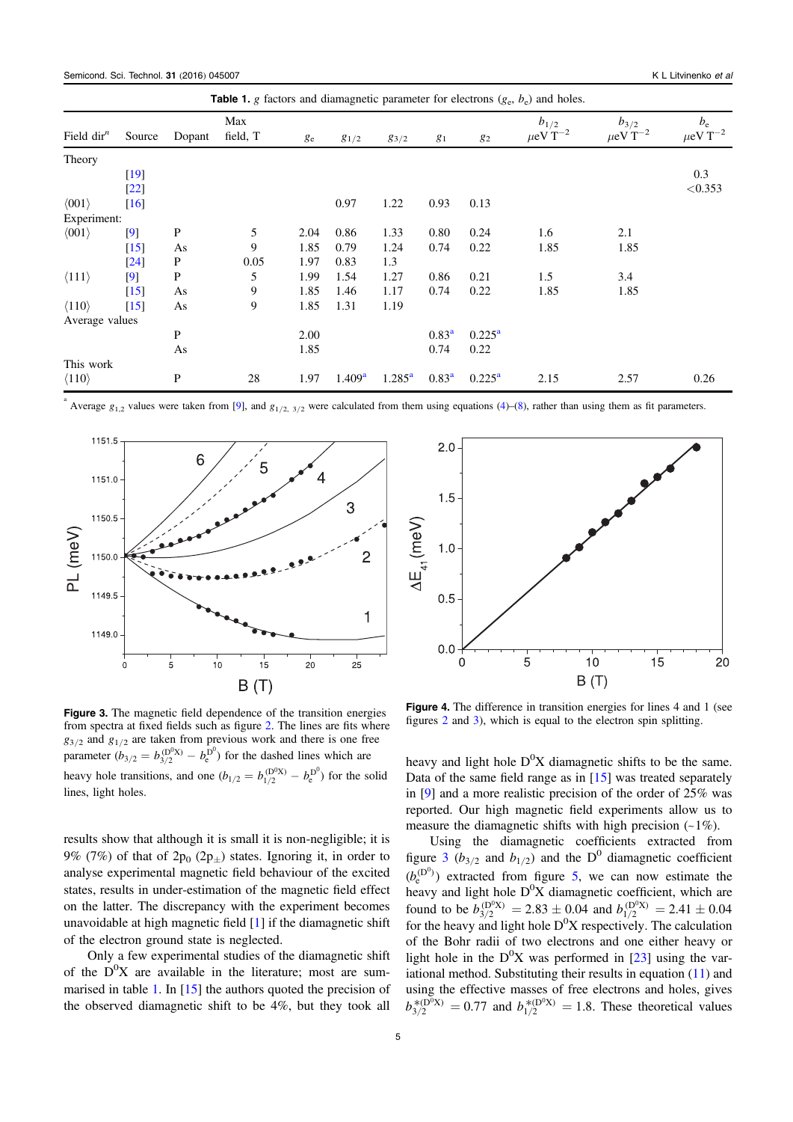<span id="page-6-0"></span>

| <b>Table 1.</b> g factors and diamagnetic parameter for electrons $(g_e, b_e)$ and holes. |                                                 |              |                 |         |                    |                 |                |                 |                                 |                                 |                                   |
|-------------------------------------------------------------------------------------------|-------------------------------------------------|--------------|-----------------|---------|--------------------|-----------------|----------------|-----------------|---------------------------------|---------------------------------|-----------------------------------|
| Field $dirn$                                                                              | Source                                          | Dopant       | Max<br>field, T | $g_{e}$ | $g_{1/2}$          | 83/2            | $g_1$          | 82              | $b_{1/2}$<br>$\mu$ eV T $^{-2}$ | $b_{3/2}$<br>$\mu$ eV T $^{-2}$ | $b_{\rm e}$<br>$\mu$ eV T $^{-2}$ |
| Theory                                                                                    |                                                 |              |                 |         |                    |                 |                |                 |                                 |                                 |                                   |
| $\langle 001 \rangle$                                                                     | [19]<br>$\left[22\right]$<br>$\lceil 16 \rceil$ |              |                 |         | 0.97               | 1.22            | 0.93           | 0.13            |                                 |                                 | 0.3<br>< 0.353                    |
| Experiment:                                                                               |                                                 |              |                 |         |                    |                 |                |                 |                                 |                                 |                                   |
| $\langle 001 \rangle$                                                                     | [9]                                             | $\mathbf{P}$ | 5               | 2.04    | 0.86               | 1.33            | 0.80           | 0.24            | 1.6                             | 2.1                             |                                   |
|                                                                                           | $[15]$                                          | As           | 9               | 1.85    | 0.79               | 1.24            | 0.74           | 0.22            | 1.85                            | 1.85                            |                                   |
|                                                                                           | $\left[24\right]$                               | P            | 0.05            | 1.97    | 0.83               | 1.3             |                |                 |                                 |                                 |                                   |
| $\langle 111 \rangle$                                                                     | [9]                                             | $\mathbf{P}$ | 5               | 1.99    | 1.54               | 1.27            | 0.86           | 0.21            | 1.5                             | 3.4                             |                                   |
|                                                                                           | $[15]$                                          | As           | 9               | 1.85    | 1.46               | 1.17            | 0.74           | 0.22            | 1.85                            | 1.85                            |                                   |
| $\langle 110 \rangle$                                                                     | $[15]$                                          | As           | 9               | 1.85    | 1.31               | 1.19            |                |                 |                                 |                                 |                                   |
| Average values                                                                            |                                                 |              |                 |         |                    |                 |                |                 |                                 |                                 |                                   |
|                                                                                           |                                                 | P            |                 | 2.00    |                    |                 | $0.83^{\rm a}$ | $0.225^{\rm a}$ |                                 |                                 |                                   |
|                                                                                           |                                                 | As           |                 | 1.85    |                    |                 | 0.74           | 0.22            |                                 |                                 |                                   |
| This work                                                                                 |                                                 |              |                 |         |                    |                 |                |                 |                                 |                                 |                                   |
| $\langle 110 \rangle$                                                                     |                                                 | $\mathbf{P}$ | 28              | 1.97    | 1.409 <sup>a</sup> | $1.285^{\rm a}$ | $0.83^a$       | $0.225^{\rm a}$ | 2.15                            | 2.57                            | 0.26                              |

a Average  $g_{1,2}$  values were taken from [[9](#page-7-8)], and  $g_{1/2, 3/2}$  were calculated from them using equations ([4](#page-4-0))–([8](#page-4-3)), rather than using them as fit parameters.

<span id="page-6-1"></span>

Figure 3. The magnetic field dependence of the transition energies from spectra at fixed fields such as figure [2.](#page-5-0) The lines are fits where  $g_{3/2}$  and  $g_{1/2}$  are taken from previous work and there is one free parameter  $(b_{3/2} = b_{3/2}^{(D^0 X)} - b_e^{D^0})$  for the dashed lines which are heavy hole transitions, and one  $(b_{1/2} = b_{1/2}^{(D^0X)} - b_e^{(D^0)}$  for the solid lines, light holes.

results show that although it is small it is non-negligible; it is 9% (7%) of that of  $2p_0$  (2p<sub>+</sub>) states. Ignoring it, in order to analyse experimental magnetic field behaviour of the excited states, results in under-estimation of the magnetic field effect on the latter. The discrepancy with the experiment becomes unavoidable at high magnetic field [[1](#page-7-0)] if the diamagnetic shift of the electron ground state is neglected.

Only a few experimental studies of the diamagnetic shift of the  $D^0X$  are available in the literature; most are sum-marised in table [1](#page-6-0). In [[15](#page-7-13)] the authors quoted the precision of the observed diamagnetic shift to be 4%, but they took all

<span id="page-6-2"></span>

Figure 4. The difference in transition energies for lines 4 and 1 (see figures [2](#page-5-0) and [3](#page-6-1)), which is equal to the electron spin splitting.

heavy and light hole  $D^{0}X$  diamagnetic shifts to be the same. Data of the same field range as in [[15](#page-7-13)] was treated separately in [[9](#page-7-8)] and a more realistic precision of the order of 25% was reported. Our high magnetic field experiments allow us to measure the diamagnetic shifts with high precision  $(-1\%)$ .

Using the diamagnetic coefficients extracted from figure [3](#page-6-1) ( $b_{3/2}$  and  $b_{1/2}$ ) and the D<sup>0</sup> diamagnetic coefficient  $(b_e^{(D^0)})$  extracted from figure [5](#page-7-17), we can now estimate the heavy and light hole  $D^0X$  diamagnetic coefficient, which are found to be  $b_{3/2}^{(D^0 X)} = 2.83 \pm 0.04$  and  $b_{1/2}^{(D^0 X)} = 2.41 \pm 0.04$ for the heavy and light hole  $D^{0}X$  respectively. The calculation of the Bohr radii of two electrons and one either heavy or light hole in the  $D^{0}X$  was performed in [[23](#page-8-4)] using the variational method. Substituting their results in equation ([11](#page-4-2)) and using the effective masses of free electrons and holes, gives  $b_{3/2}^{*(D^0X)} = 0.77$  and  $b_{1/2}^{*(D^0X)} = 1.8$ . These theoretical values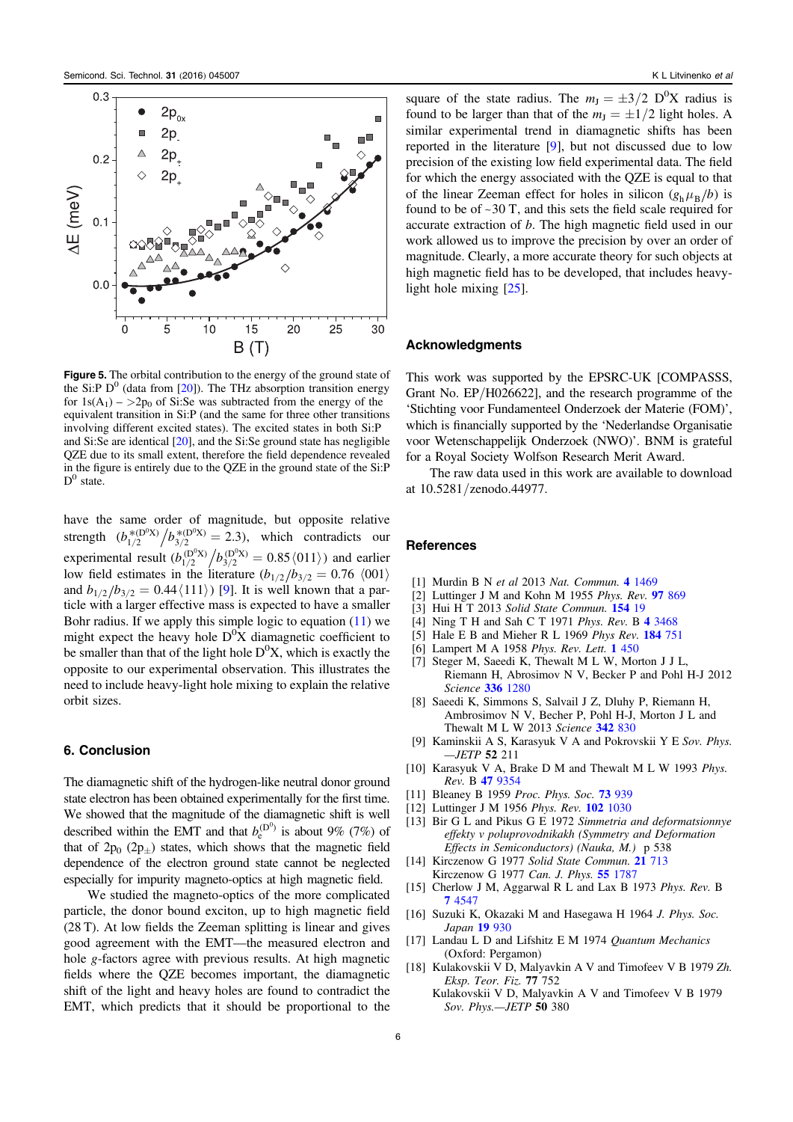<span id="page-7-17"></span>

Figure 5. The orbital contribution to the energy of the ground state of the Si:P  $D^0$  (data from [[20](#page-8-1)]). The THz absorption transition energy for  $1s(A_1) - \frac{2p_0}{s}$  of Si:Se was subtracted from the energy of the equivalent transition in Si:P (and the same for three other transitions involving different excited states). The excited states in both Si:P and Si:Se are identical [[20](#page-8-1)], and the Si:Se ground state has negligible QZE due to its small extent, therefore the field dependence revealed in the figure is entirely due to the QZE in the ground state of the Si:P  $D^0$  state.

have the same order of magnitude, but opposite relative strength  $(b_{1/2}^{*(D^0X)}/b_{3/2}^{*(D^0X)} = 2.3)$ , which contradicts our experimental result  $(b_{1/2}^{(D^0X)}/b_{3/2}^{(D^0X)} = 0.85 \langle 011 \rangle)$  and earlier low field estimates in the literature  $(b_{1/2}/b_{3/2} = 0.76 \langle 001 \rangle$ and  $b_{1/2}/b_{3/2} = 0.44 \langle 111 \rangle$ ) [[9](#page-7-8)]. It is well known that a particle with a larger effective mass is expected to have a smaller Bohr radius. If we apply this simple logic to equation ([11](#page-4-2)) we might expect the heavy hole  $D^0X$  diamagnetic coefficient to be smaller than that of the light hole  $D^{0}X$ , which is exactly the opposite to our experimental observation. This illustrates the need to include heavy-light hole mixing to explain the relative orbit sizes.

# 6. Conclusion

The diamagnetic shift of the hydrogen-like neutral donor ground state electron has been obtained experimentally for the first time. We showed that the magnitude of the diamagnetic shift is well described within the EMT and that  $b_e^{(D^0)}$  is about 9% (7%) of that of  $2p_0 (2p_{\pm})$  states, which shows that the magnetic field dependence of the electron ground state cannot be neglected especially for impurity magneto-optics at high magnetic field.

We studied the magneto-optics of the more complicated particle, the donor bound exciton, up to high magnetic field (28 T). At low fields the Zeeman splitting is linear and gives good agreement with the EMT—the measured electron and hole g-factors agree with previous results. At high magnetic fields where the QZE becomes important, the diamagnetic shift of the light and heavy holes are found to contradict the EMT, which predicts that it should be proportional to the

square of the state radius. The  $m_J = \pm 3/2$  D<sup>o</sup>X radius is found to be larger than that of the  $m<sub>J</sub> = \pm 1/2$  light holes. A similar experimental trend in diamagnetic shifts has been reported in the literature [[9](#page-7-8)], but not discussed due to low precision of the existing low field experimental data. The field for which the energy associated with the QZE is equal to that of the linear Zeeman effect for holes in silicon  $(g_h \mu_B / b)$  is found to be of  $\sim$  30 T, and this sets the field scale required for accurate extraction of b. The high magnetic field used in our work allowed us to improve the precision by over an order of magnitude. Clearly, a more accurate theory for such objects at high magnetic field has to be developed, that includes heavylight hole mixing [[25](#page-8-6)].

#### Acknowledgments

This work was supported by the EPSRC-UK [COMPASSS, Grant No. EP/H026622], and the research programme of the 'Stichting voor Fundamenteel Onderzoek der Materie (FOM)', which is financially supported by the 'Nederlandse Organisatie voor Wetenschappelijk Onderzoek (NWO)'. BNM is grateful for a Royal Society Wolfson Research Merit Award.

The raw data used in this work are available to download at 10.5281/zenodo.44977.

### **References**

- <span id="page-7-0"></span>[1] Murdin B N et al 2013 Nat. Commun. 4 [1469](http://dx.doi.org/10.1038/ncomms2466)
- <span id="page-7-1"></span>[2] Luttinger J M and Kohn M 1955 Phys. Rev. 97 [869](http://dx.doi.org/10.1103/PhysRev.97.869)
- <span id="page-7-2"></span>[3] Hui H T 2013 Solid State Commun. **[154](http://dx.doi.org/10.1016/j.ssc.2012.10.023)** 19
- <span id="page-7-3"></span>[4] Ning T H and Sah C T 1971 Phys. Rev. B 4 [3468](http://dx.doi.org/10.1103/PhysRevB.4.3468)
- <span id="page-7-4"></span>[5] Hale E B and Mieher R L 1969 Phys Rev. 184 [751](http://dx.doi.org/10.1103/Phys.Rev.184.751)
- <span id="page-7-5"></span>[6] Lampert M A 1958 Phys. Rev. Lett. 1 [450](http://dx.doi.org/10.1103/PhysRevLett.1.450)
- <span id="page-7-6"></span>[7] Steger M, Saeedi K, Thewalt M L W, Morton J J L, Riemann H, Abrosimov N V, Becker P and Pohl H-J 2012 Science 336 [1280](http://dx.doi.org/10.1126/science.1217635)
- <span id="page-7-7"></span>[8] Saeedi K, Simmons S, Salvail J Z, Dluhy P, Riemann H, Ambrosimov N V, Becher P, Pohl H-J, Morton J L and Thewalt M L W 2013 Science 342 [830](http://dx.doi.org/10.1126/science.1239584)
- <span id="page-7-8"></span>[9] Kaminskii A S, Karasyuk V A and Pokrovskii Y E Sov. Phys.  $-JETP$  52 211
- <span id="page-7-9"></span>[10] Karasyuk V A, Brake D M and Thewalt M L W 1993 Phys. Rev. B 47 [9354](http://dx.doi.org/10.1103/PhysRevB.47.9354)
- <span id="page-7-10"></span>[11] Bleaney B 1959 Proc. Phys. Soc. **73** [939](http://dx.doi.org/10.1088/0370-1328/73/6/413)
- [12] Luttinger J M 1956 Phys. Rev. 102 [1030](http://dx.doi.org/10.1103/PhysRev.102.1030)
- <span id="page-7-11"></span>[13] Bir G L and Pikus G E 1972 Simmetria and deformatsionnye effekty v poluprovodnikakh (Symmetry and Deformation Effects in Semiconductors) (Nauka, M.) p 538
- <span id="page-7-12"></span>[14] Kirczenow G 1977 Solid State Commun. 21 [713](http://dx.doi.org/10.1016/0038-1098(77)91134-6) Kirczenow G 1977 Can. J. Phys. 55 [1787](http://dx.doi.org/10.1139/p77-220)
- <span id="page-7-13"></span>[15] Cherlow J M, Aggarwal R L and Lax B 1973 Phys. Rev. B 7 [4547](http://dx.doi.org/10.1103/PhysRevB.7.4547)
- <span id="page-7-14"></span>[16] Suzuki K, Okazaki M and Hasegawa H 1964 J. Phys. Soc. Japan 19 [930](http://dx.doi.org/10.1143/JPSJ.19.930)
- <span id="page-7-15"></span>[17] Landau L D and Lifshitz E M 1974 Quantum Mechanics (Oxford: Pergamon)
- <span id="page-7-16"></span>[18] Kulakovskii V D, Malyavkin A V and Timofeev V B 1979 Zh. Eksp. Teor. Fiz. 77 752
	- Kulakovskii V D, Malyavkin A V and Timofeev V B 1979 Sov. Phys.—JETP 50 380